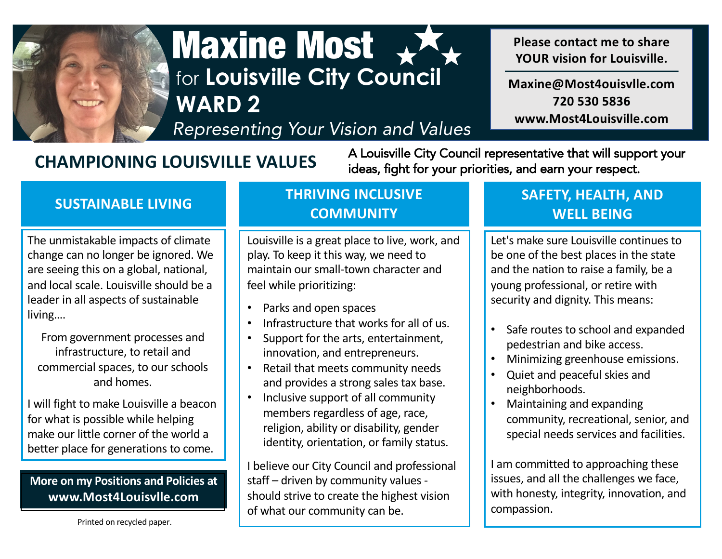

# Maxine Most for **Louisville City Council WARD 2**

*Representing Your Vision and Values*

**CHAMPIONING LOUISVILLE VALUES** A Louisville City Council representative that will support your ideas, fight for your priorities, and earn your respect.

The unmistakable impacts of climate change can no longer be ignored. We are seeing this on a global, national, and local scale. Louisville should be a leader in all aspects of sustainable living….

From government processes and infrastructure, to retail and commercial spaces, to our schools and homes.

I will fight to make Louisville a beacon for what is possible while helping make our little corner of the world a better place for generations to come.

#### **More on my Positions and Policies at www.Most4Louisvlle.com**

Printed on recycled paper.

### **SUSTAINABLE LIVING THRIVING INCLUSIVE COMMUNITY**

Louisville is a great place to live, work, and play. To keep it this way, we need to maintain our small-town character and feel while prioritizing:

- Parks and open spaces
- Infrastructure that works for all of us.
- Support for the arts, entertainment, innovation, and entrepreneurs.
- Retail that meets community needs and provides a strong sales tax base.
- Inclusive support of all community members regardless of age, race, religion, ability or disability, gender identity, orientation, or family status.

I believe our City Council and professional staff – driven by community values should strive to create the highest vision of what our community can be.

### **SAFETY, HEALTH, AND WELL BEING**

**Please contact me to share YOUR vision for Louisville.**

**Maxine@Most4ouisvlle.com 720 530 5836 www.Most4Louisville.com**

Let's make sure Louisville continues to be one of the best places in the state and the nation to raise a family, be a young professional, or retire with security and dignity. This means:

- Safe routes to school and expanded pedestrian and bike access.
- Minimizing greenhouse emissions.
- Quiet and peaceful skies and neighborhoods.
- Maintaining and expanding community, recreational, senior, and special needs services and facilities.

I am committed to approaching these issues, and all the challenges we face, with honesty, integrity, innovation, and compassion.